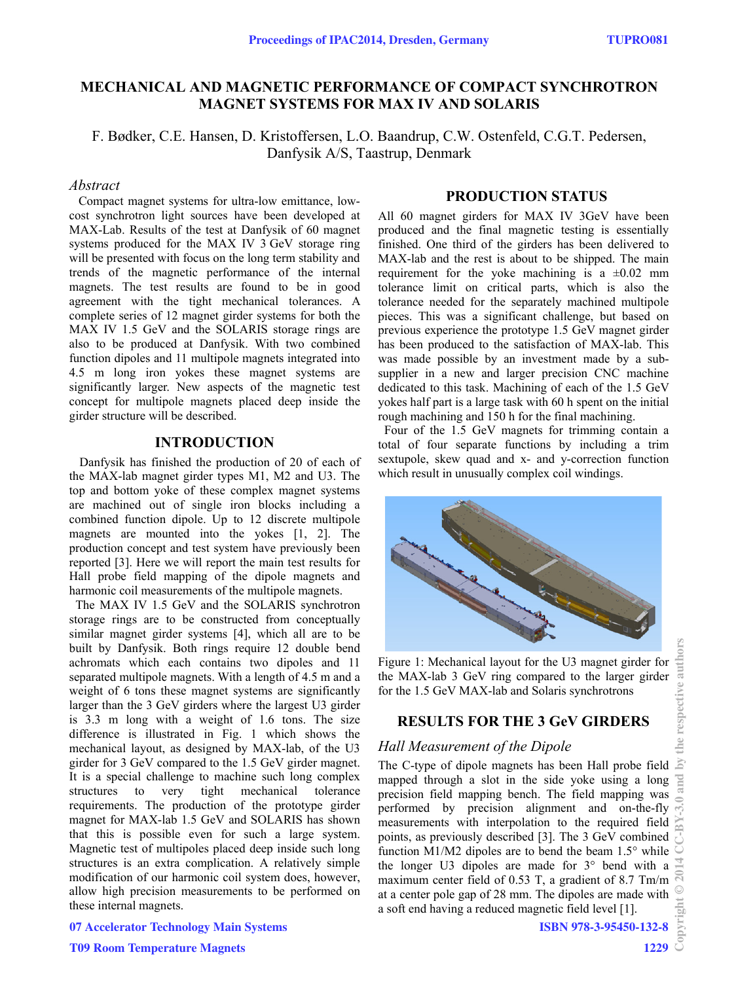# **MECHANICAL AND MAGNETIC PERFORMANCE OF COMPACT SYNCHROTRON MAGNET SYSTEMS FOR MAX IV AND SOLARIS**

F. Bødker, C.E. Hansen, D. Kristoffersen, L.O. Baandrup, C.W. Ostenfeld, C.G.T. Pedersen, Danfysik A/S, Taastrup, Denmark

# *Abstract*

 Compact magnet systems for ultra-low emittance, lowcost synchrotron light sources have been developed at MAX-Lab. Results of the test at Danfysik of 60 magnet systems produced for the MAX IV 3 GeV storage ring will be presented with focus on the long term stability and trends of the magnetic performance of the internal magnets. The test results are found to be in good agreement with the tight mechanical tolerances. A complete series of 12 magnet girder systems for both the MAX IV 1.5 GeV and the SOLARIS storage rings are also to be produced at Danfysik. With two combined function dipoles and 11 multipole magnets integrated into 4.5 m long iron yokes these magnet systems are significantly larger. New aspects of the magnetic test concept for multipole magnets placed deep inside the girder structure will be described.

## **INTRODUCTION**

 Danfysik has finished the production of 20 of each of the MAX-lab magnet girder types M1, M2 and U3. The top and bottom yoke of these complex magnet systems are machined out of single iron blocks including a combined function dipole. Up to 12 discrete multipole magnets are mounted into the yokes [1, 2]. The production concept and test system have previously been reported [3]. Here we will report the main test results for Hall probe field mapping of the dipole magnets and harmonic coil measurements of the multipole magnets.

 The MAX IV 1.5 GeV and the SOLARIS synchrotron storage rings are to be constructed from conceptually similar magnet girder systems [4], which all are to be built by Danfysik. Both rings require 12 double bend achromats which each contains two dipoles and 11 separated multipole magnets. With a length of 4.5 m and a weight of 6 tons these magnet systems are significantly larger than the 3 GeV girders where the largest U3 girder is 3.3 m long with a weight of 1.6 tons. The size difference is illustrated in Fig. 1 which shows the mechanical layout, as designed by MAX-lab, of the U3 girder for 3 GeV compared to the 1.5 GeV girder magnet. It is a special challenge to machine such long complex structures to very tight mechanical tolerance requirements. The production of the prototype girder magnet for MAX-lab 1.5 GeV and SOLARIS has shown that this is possible even for such a large system. Magnetic test of multipoles placed deep inside such long structures is an extra complication. A relatively simple modification of our harmonic coil system does, however, allow high precision measurements to be performed on these internal magnets.

## **PRODUCTION STATUS**

All 60 magnet girders for MAX IV 3GeV have been produced and the final magnetic testing is essentially finished. One third of the girders has been delivered to MAX-lab and the rest is about to be shipped. The main requirement for the yoke machining is a  $\pm 0.02$  mm tolerance limit on critical parts, which is also the tolerance needed for the separately machined multipole pieces. This was a significant challenge, but based on previous experience the prototype 1.5 GeV magnet girder has been produced to the satisfaction of MAX-lab. This was made possible by an investment made by a subsupplier in a new and larger precision CNC machine dedicated to this task. Machining of each of the 1.5 GeV yokes half part is a large task with 60 h spent on the initial rough machining and 150 h for the final machining.

 Four of the 1.5 GeV magnets for trimming contain a total of four separate functions by including a trim sextupole, skew quad and x- and y-correction function which result in unusually complex coil windings.



Figure 1: Mechanical layout for the U3 magnet girder for the MAX-lab 3 GeV ring compared to the larger girder for the 1.5 GeV MAX-lab and Solaris synchrotrons

### **RESULTS FOR THE 3 GeV GIRDERS**

#### *Hall Measurement of the Dipole*

The C-type of dipole magnets has been Hall probe field  $\geq$ mapped through a slot in the side yoke using a long and precision field mapping bench. The field mapping was performed by precision alignment and on-the-fly measurements with interpolation to the required field  $\sum_{n=1}^{\infty}$ points, as previously described [3]. The 3 GeV combined function M1/M2 dipoles are to bend the beam 1.5° while the longer U3 dipoles are made for 3° bend with a maximum center field of 0.53 T, a gradient of 8.7 Tm/m at a center pole gap of 28 mm. The dipoles are made with a soft end having a reduced magnetic field level [1].

the respective authors

07 Accelerator Technology Main Systems

 $\frac{1}{2}$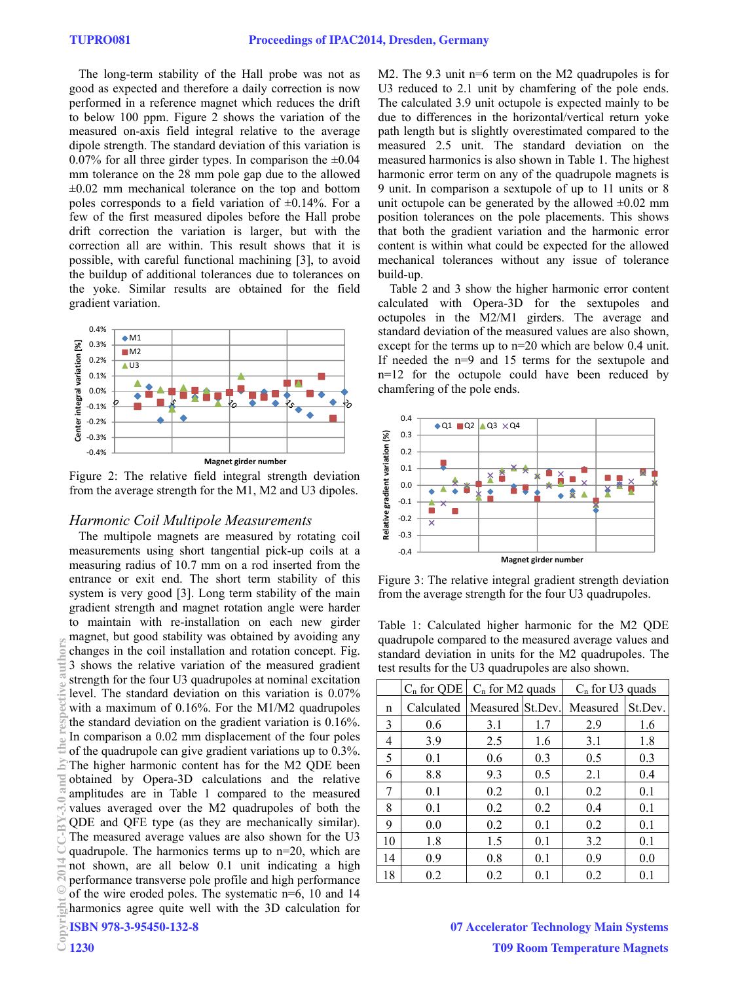The long-term stability of the Hall probe was not as good as expected and therefore a daily correction is now performed in a reference magnet which reduces the drift to below 100 ppm. Figure 2 shows the variation of the measured on-axis field integral relative to the average dipole strength. The standard deviation of this variation is 0.07% for all three girder types. In comparison the  $\pm 0.04$ mm tolerance on the 28 mm pole gap due to the allowed  $\pm 0.02$  mm mechanical tolerance on the top and bottom poles corresponds to a field variation of  $\pm 0.14\%$ . For a few of the first measured dipoles before the Hall probe drift correction the variation is larger, but with the correction all are within. This result shows that it is possible, with careful functional machining [3], to avoid the buildup of additional tolerances due to tolerances on the yoke. Similar results are obtained for the field gradient variation.



Figure 2: The relative field integral strength deviation from the average strength for the M1, M2 and U3 dipoles.

#### *Harmonic Coil Multipole Measurements*

 The multipole magnets are measured by rotating coil measurements using short tangential pick-up coils at a measuring radius of 10.7 mm on a rod inserted from the entrance or exit end. The short term stability of this system is very good [3]. Long term stability of the main gradient strength and magnet rotation angle were harder to maintain with re-installation on each new girder magnet, but good stability was obtained by avoiding any changes in the coil installation and rotation concept. Fig. 3 shows the relative variation of the measured gradient strength for the four U3 quadrupoles at nominal excitation level. The standard deviation on this variation is 0.07% with a maximum of 0.16%. For the M1/M2 quadrupoles the standard deviation on the gradient variation is 0.16%. In comparison a 0.02 mm displacement of the four poles of the quadrupole can give gradient variations up to 0.3%. The higher harmonic content has for the M2 QDE been obtained by Opera-3D calculations and the relative amplitudes are in Table 1 compared to the measured values averaged over the M2 quadrupoles of both the QDE and QFE type (as they are mechanically similar). The measured average values are also shown for the U3 quadrupole. The harmonics terms up to n=20, which are not shown, are all below 0.1 unit indicating a high performance transverse pole profile and high performance of the wire eroded poles. The systematic n=6, 10 and 14 harmonics agree quite well with the 3D calculation for ISBN 978-3-95450-132-8 Copyright Copyright Copyright Copyright Copyright Copyright Copyright Copyright Copyright Copyright Copyright Copyright Copyright Copyright Copyright Copyright Copyright Copyright Copyright Copyright Copyright Copyright C

M2. The 9.3 unit n=6 term on the M2 quadrupoles is for U3 reduced to 2.1 unit by chamfering of the pole ends. The calculated 3.9 unit octupole is expected mainly to be due to differences in the horizontal/vertical return yoke path length but is slightly overestimated compared to the measured 2.5 unit. The standard deviation on the measured harmonics is also shown in Table 1. The highest harmonic error term on any of the quadrupole magnets is 9 unit. In comparison a sextupole of up to 11 units or 8 unit octupole can be generated by the allowed  $\pm 0.02$  mm position tolerances on the pole placements. This shows that both the gradient variation and the harmonic error content is within what could be expected for the allowed mechanical tolerances without any issue of tolerance build-up.

Table 2 and 3 show the higher harmonic error content calculated with Opera-3D for the sextupoles and octupoles in the M2/M1 girders. The average and standard deviation of the measured values are also shown, except for the terms up to n=20 which are below 0.4 unit. If needed the n=9 and 15 terms for the sextupole and n=12 for the octupole could have been reduced by chamfering of the pole ends.



Figure 3: The relative integral gradient strength deviation from the average strength for the four U3 quadrupoles.

Table 1: Calculated higher harmonic for the M2 QDE quadrupole compared to the measured average values and standard deviation in units for the M2 quadrupoles. The test results for the U3 quadrupoles are also shown.

|    | $C_n$ for QDE | $C_n$ for M2 quads |     | $C_n$ for U3 quads |         |
|----|---------------|--------------------|-----|--------------------|---------|
| n  | Calculated    | Measured St.Dev.   |     | Measured           | St.Dev. |
| 3  | 0.6           | 3.1                | 1.7 | 2.9                | 1.6     |
| 4  | 3.9           | 2.5                | 1.6 | 3.1                | 1.8     |
| 5  | 0.1           | 0.6                | 0.3 | 0.5                | 0.3     |
| 6  | 8.8           | 9.3                | 0.5 | 2.1                | 0.4     |
| 7  | 0.1           | 0.2                | 0.1 | 0.2                | 0.1     |
| 8  | 0.1           | 0.2                | 0.2 | 0.4                | 0.1     |
| 9  | 0.0           | 0.2                | 0.1 | 0.2                | 0.1     |
| 10 | 1.8           | 1.5                | 0.1 | 3.2                | 0.1     |
| 14 | 0.9           | 0.8                | 0.1 | 0.9                | 0.0     |
| 18 | 0.2           | 0.2                | 0.1 | 0.2                | 0.1     |

07 Accelerator Technology Main Systems T09 Room Temperature Magnets